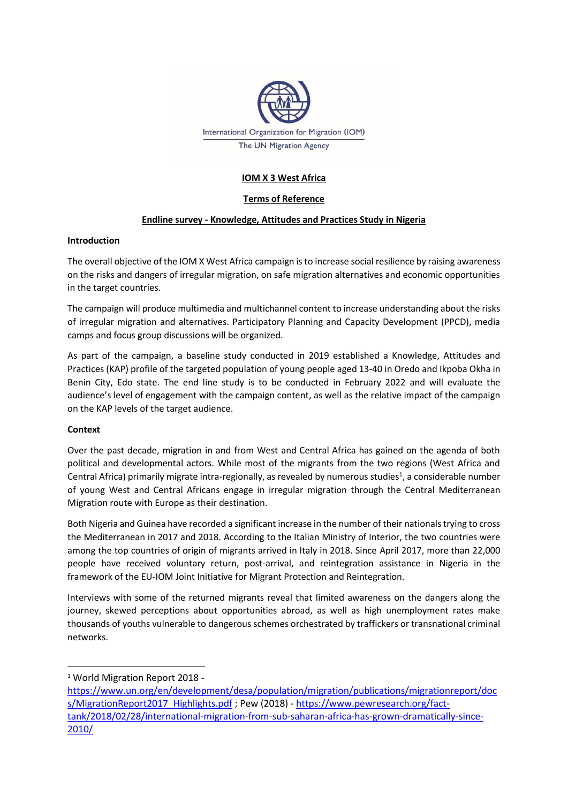

# **IOM X 3 West Africa**

# **Terms of Reference**

# **Endline survey - Knowledge, Attitudes and Practices Study in Nigeria**

## **Introduction**

The overall objective of the IOM X West Africa campaign is to increase social resilience by raising awareness on the risks and dangers of irregular migration, on safe migration alternatives and economic opportunities in the target countries.

The campaign will produce multimedia and multichannel content to increase understanding about the risks of irregular migration and alternatives. Participatory Planning and Capacity Development (PPCD), media camps and focus group discussions will be organized.

As part of the campaign, a baseline study conducted in 2019 established a Knowledge, Attitudes and Practices (KAP) profile of the targeted population of young people aged 13-40 in Oredo and Ikpoba Okha in Benin City, Edo state. The end line study is to be conducted in February 2022 and will evaluate the audience's level of engagement with the campaign content, as well as the relative impact of the campaign on the KAP levels of the target audience.

## **Context**

Over the past decade, migration in and from West and Central Africa has gained on the agenda of both political and developmental actors. While most of the migrants from the two regions (West Africa and Central Africa) primarily migrate intra-regionally, as revealed by numerous studies<sup>1</sup>, a considerable number of young West and Central Africans engage in irregular migration through the Central Mediterranean Migration route with Europe as their destination.

Both Nigeria and Guinea have recorded a significant increase in the number of their nationals trying to cross the Mediterranean in 2017 and 2018. According to the Italian Ministry of Interior, the two countries were among the top countries of origin of migrants arrived in Italy in 2018. Since April 2017, more than 22,000 people have received voluntary return, post-arrival, and reintegration assistance in Nigeria in the framework of the EU-IOM Joint Initiative for Migrant Protection and Reintegration.

Interviews with some of the returned migrants reveal that limited awareness on the dangers along the journey, skewed perceptions about opportunities abroad, as well as high unemployment rates make thousands of youths vulnerable to dangerous schemes orchestrated by traffickers or transnational criminal networks.

<sup>1</sup> World Migration Report 2018 -

[https://www.un.org/en/development/desa/population/migration/publications/migrationreport/doc](https://www.un.org/en/development/desa/population/migration/publications/migrationreport/docs/MigrationReport2017_Highlights.pdf) [s/MigrationReport2017\\_Highlights.pdf](https://www.un.org/en/development/desa/population/migration/publications/migrationreport/docs/MigrationReport2017_Highlights.pdf) ; Pew (2018) - [https://www.pewresearch.org/fact](https://www.pewresearch.org/fact-tank/2018/02/28/international-migration-from-sub-saharan-africa-has-grown-dramatically-since-2010/)[tank/2018/02/28/international-migration-from-sub-saharan-africa-has-grown-dramatically-since-](https://www.pewresearch.org/fact-tank/2018/02/28/international-migration-from-sub-saharan-africa-has-grown-dramatically-since-2010/)[2010/](https://www.pewresearch.org/fact-tank/2018/02/28/international-migration-from-sub-saharan-africa-has-grown-dramatically-since-2010/)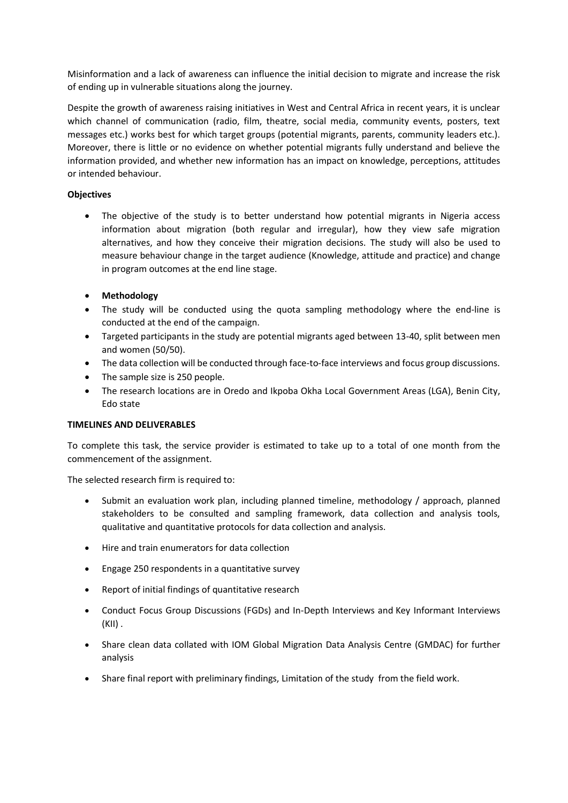Misinformation and a lack of awareness can influence the initial decision to migrate and increase the risk of ending up in vulnerable situations along the journey.

Despite the growth of awareness raising initiatives in West and Central Africa in recent years, it is unclear which channel of communication (radio, film, theatre, social media, community events, posters, text messages etc.) works best for which target groups (potential migrants, parents, community leaders etc.). Moreover, there is little or no evidence on whether potential migrants fully understand and believe the information provided, and whether new information has an impact on knowledge, perceptions, attitudes or intended behaviour.

# **Objectives**

- The objective of the study is to better understand how potential migrants in Nigeria access information about migration (both regular and irregular), how they view safe migration alternatives, and how they conceive their migration decisions. The study will also be used to measure behaviour change in the target audience (Knowledge, attitude and practice) and change in program outcomes at the end line stage.
- **Methodology**
- The study will be conducted using the quota sampling methodology where the end-line is conducted at the end of the campaign.
- Targeted participants in the study are potential migrants aged between 13-40, split between men and women (50/50).
- The data collection will be conducted through face-to-face interviews and focus group discussions.
- The sample size is 250 people.
- The research locations are in Oredo and Ikpoba Okha Local Government Areas (LGA), Benin City, Edo state

## **TIMELINES AND DELIVERABLES**

To complete this task, the service provider is estimated to take up to a total of one month from the commencement of the assignment.

The selected research firm is required to:

- Submit an evaluation work plan, including planned timeline, methodology / approach, planned stakeholders to be consulted and sampling framework, data collection and analysis tools, qualitative and quantitative protocols for data collection and analysis.
- Hire and train enumerators for data collection
- Engage 250 respondents in a quantitative survey
- Report of initial findings of quantitative research
- Conduct Focus Group Discussions (FGDs) and In-Depth Interviews and Key Informant Interviews (KII) .
- Share clean data collated with IOM Global Migration Data Analysis Centre (GMDAC) for further analysis
- Share final report with preliminary findings, Limitation of the study from the field work.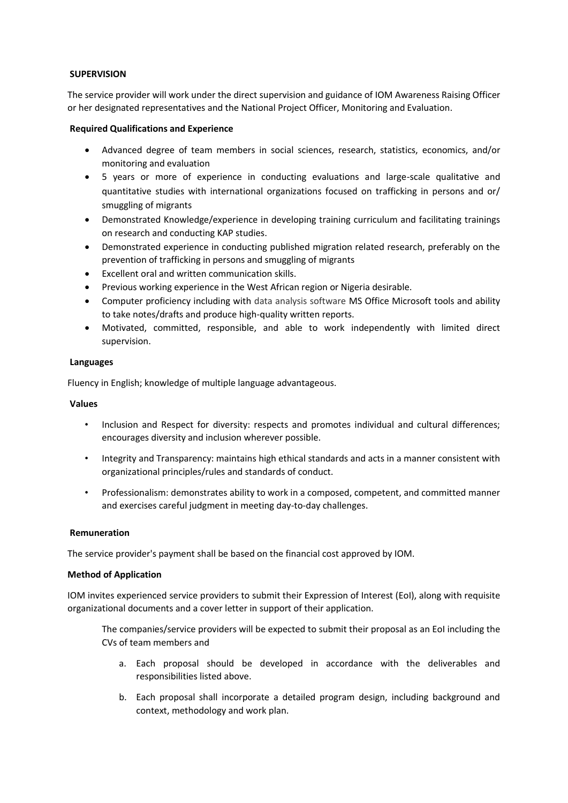## **SUPERVISION**

The service provider will work under the direct supervision and guidance of IOM Awareness Raising Officer or her designated representatives and the National Project Officer, Monitoring and Evaluation.

#### **Required Qualifications and Experience**

- Advanced degree of team members in social sciences, research, statistics, economics, and/or monitoring and evaluation
- 5 years or more of experience in conducting evaluations and large-scale qualitative and quantitative studies with international organizations focused on trafficking in persons and or/ smuggling of migrants
- Demonstrated Knowledge/experience in developing training curriculum and facilitating trainings on research and conducting KAP studies.
- Demonstrated experience in conducting published migration related research, preferably on the prevention of trafficking in persons and smuggling of migrants
- Excellent oral and written communication skills.
- Previous working experience in the West African region or Nigeria desirable.
- Computer proficiency including with data analysis software MS Office Microsoft tools and ability to take notes/drafts and produce high-quality written reports.
- Motivated, committed, responsible, and able to work independently with limited direct supervision.

## **Languages**

Fluency in English; knowledge of multiple language advantageous.

#### **Values**

- Inclusion and Respect for diversity: respects and promotes individual and cultural differences; encourages diversity and inclusion wherever possible.
- Integrity and Transparency: maintains high ethical standards and acts in a manner consistent with organizational principles/rules and standards of conduct.
- Professionalism: demonstrates ability to work in a composed, competent, and committed manner and exercises careful judgment in meeting day-to-day challenges.

#### **Remuneration**

The service provider's payment shall be based on the financial cost approved by IOM.

#### **Method of Application**

IOM invites experienced service providers to submit their Expression of Interest (EoI), along with requisite organizational documents and a cover letter in support of their application.

The companies/service providers will be expected to submit their proposal as an EoI including the CVs of team members and

- a. Each proposal should be developed in accordance with the deliverables and responsibilities listed above.
- b. Each proposal shall incorporate a detailed program design, including background and context, methodology and work plan.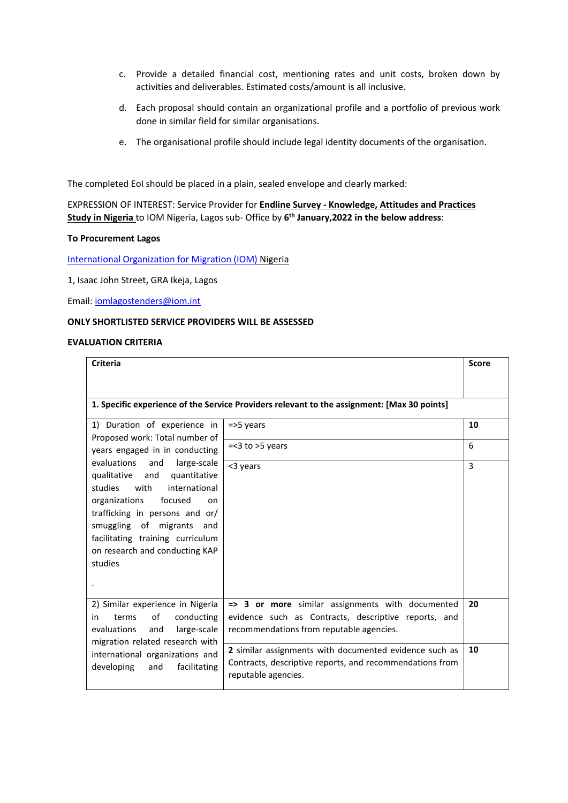- c. Provide a detailed financial cost, mentioning rates and unit costs, broken down by activities and deliverables. Estimated costs/amount is all inclusive.
- d. Each proposal should contain an organizational profile and a portfolio of previous work done in similar field for similar organisations.
- e. The organisational profile should include legal identity documents of the organisation.

The completed EoI should be placed in a plain, sealed envelope and clearly marked:

EXPRESSION OF INTEREST: Service Provider for **Endline Survey - Knowledge, Attitudes and Practices Study in Nigeria** to IOM Nigeria, Lagos sub- Office by **6 th January,2022 in the below address**:

#### **To Procurement Lagos**

[International Organization for Migration \(IOM\)](http://www.iom.int/) Nigeria

1, Isaac John Street, GRA Ikeja, Lagos

Email[: iomlagostenders@iom.int](mailto:iomlagostenders@iom.int)

## **ONLY SHORTLISTED SERVICE PROVIDERS WILL BE ASSESSED**

## **EVALUATION CRITERIA**

| <b>Criteria</b>                                                                                                                                                                                                                                                                                                                                                                             |                                                                                                                                                      | <b>Score</b> |  |
|---------------------------------------------------------------------------------------------------------------------------------------------------------------------------------------------------------------------------------------------------------------------------------------------------------------------------------------------------------------------------------------------|------------------------------------------------------------------------------------------------------------------------------------------------------|--------------|--|
| 1. Specific experience of the Service Providers relevant to the assignment: [Max 30 points]                                                                                                                                                                                                                                                                                                 |                                                                                                                                                      |              |  |
| 1) Duration of experience in<br>Proposed work: Total number of<br>years engaged in in conducting<br>evaluations and<br>large-scale<br>qualitative and quantitative<br>with<br>international<br>studies<br>organizations<br>focused<br>on<br>trafficking in persons and or/<br>smuggling of migrants<br>and<br>facilitating training curriculum<br>on research and conducting KAP<br>studies | $=$ > 5 years                                                                                                                                        | 10           |  |
|                                                                                                                                                                                                                                                                                                                                                                                             | $=<$ 3 to $>$ 5 years                                                                                                                                | 6            |  |
|                                                                                                                                                                                                                                                                                                                                                                                             | <3 years                                                                                                                                             | 3            |  |
| 2) Similar experience in Nigeria<br>οf<br>conducting<br>in<br>terms<br>evaluations<br>and<br>large-scale<br>migration related research with<br>international organizations and<br>facilitating<br>developing<br>and                                                                                                                                                                         | => 3 or more similar assignments with documented<br>evidence such as Contracts, descriptive reports, and<br>recommendations from reputable agencies. | 20           |  |
|                                                                                                                                                                                                                                                                                                                                                                                             | 2 similar assignments with documented evidence such as<br>Contracts, descriptive reports, and recommendations from<br>reputable agencies.            | 10           |  |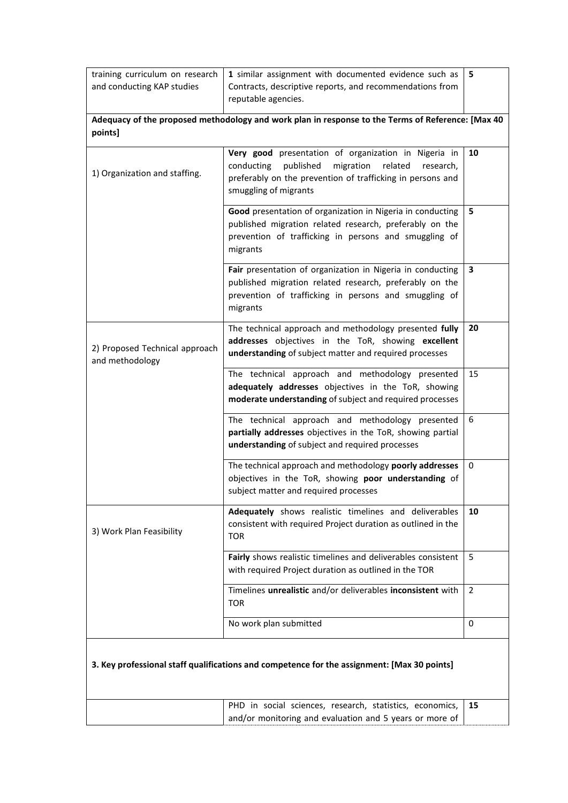| training curriculum on research<br>and conducting KAP studies                                                | 1 similar assignment with documented evidence such as<br>Contracts, descriptive reports, and recommendations from<br>reputable agencies.                                                                    | 5  |  |  |
|--------------------------------------------------------------------------------------------------------------|-------------------------------------------------------------------------------------------------------------------------------------------------------------------------------------------------------------|----|--|--|
| Adequacy of the proposed methodology and work plan in response to the Terms of Reference: [Max 40<br>points] |                                                                                                                                                                                                             |    |  |  |
| 1) Organization and staffing.                                                                                | Very good presentation of organization in Nigeria in<br>published<br>migration<br>conducting<br>related<br>research,<br>preferably on the prevention of trafficking in persons and<br>smuggling of migrants | 10 |  |  |
|                                                                                                              | Good presentation of organization in Nigeria in conducting<br>published migration related research, preferably on the<br>prevention of trafficking in persons and smuggling of<br>migrants                  | 5  |  |  |
|                                                                                                              | Fair presentation of organization in Nigeria in conducting<br>published migration related research, preferably on the<br>prevention of trafficking in persons and smuggling of<br>migrants                  | 3  |  |  |
| 2) Proposed Technical approach<br>and methodology                                                            | The technical approach and methodology presented fully<br>addresses objectives in the ToR, showing excellent<br>understanding of subject matter and required processes                                      | 20 |  |  |
|                                                                                                              | The technical approach and methodology presented<br>adequately addresses objectives in the ToR, showing<br>moderate understanding of subject and required processes                                         | 15 |  |  |
|                                                                                                              | The technical approach and methodology presented<br>partially addresses objectives in the ToR, showing partial<br>understanding of subject and required processes                                           | 6  |  |  |
|                                                                                                              | The technical approach and methodology poorly addresses<br>objectives in the ToR, showing poor understanding of<br>subject matter and required processes                                                    | 0  |  |  |
| 3) Work Plan Feasibility                                                                                     | Adequately shows realistic timelines and deliverables<br>consistent with required Project duration as outlined in the<br><b>TOR</b>                                                                         | 10 |  |  |
|                                                                                                              | Fairly shows realistic timelines and deliverables consistent<br>with required Project duration as outlined in the TOR                                                                                       | 5  |  |  |
|                                                                                                              | Timelines unrealistic and/or deliverables inconsistent with<br><b>TOR</b>                                                                                                                                   | 2  |  |  |
|                                                                                                              | No work plan submitted                                                                                                                                                                                      | 0  |  |  |
| 3. Key professional staff qualifications and competence for the assignment: [Max 30 points]                  |                                                                                                                                                                                                             |    |  |  |
|                                                                                                              | PHD in social sciences, research, statistics, economics,<br>and/or monitoring and evaluation and 5 years or more of                                                                                         | 15 |  |  |